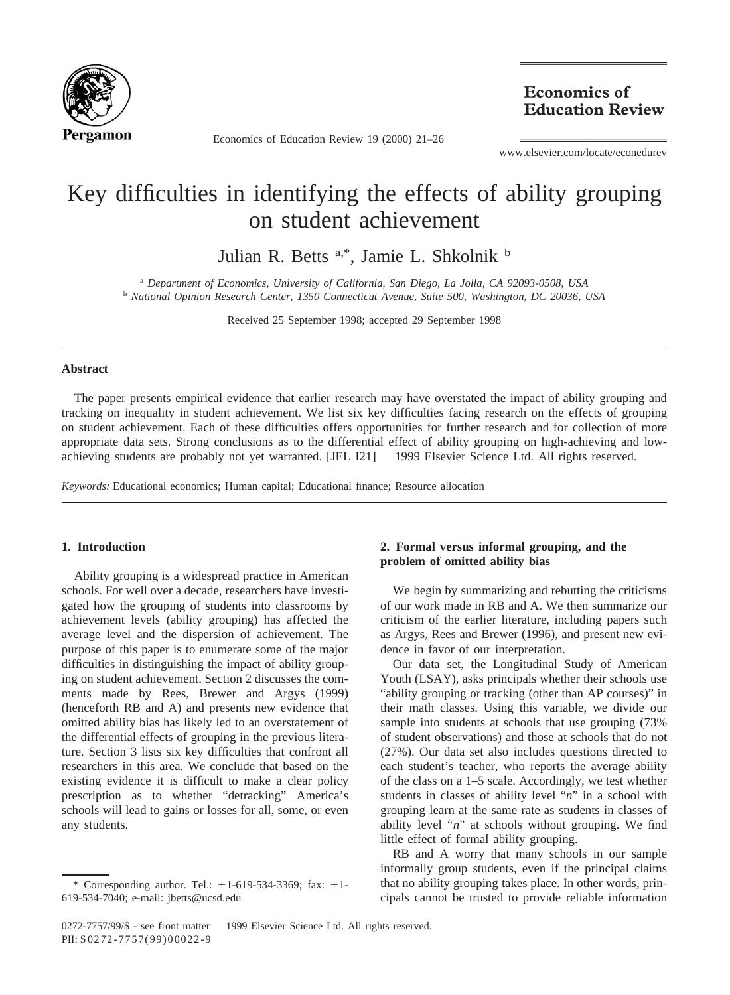

Economics of Education Review 19 (2000) 21–26

**Economics of Education Review** 

www.elsevier.com/locate/econedurev

# Key difficulties in identifying the effects of ability grouping on student achievement

Julian R. Betts <sup>a,\*</sup>, Jamie L. Shkolnik b

<sup>a</sup> *Department of Economics, University of California, San Diego, La Jolla, CA 92093-0508, USA* <sup>b</sup> *National Opinion Research Center, 1350 Connecticut Avenue, Suite 500, Washington, DC 20036, USA*

Received 25 September 1998; accepted 29 September 1998

#### **Abstract**

The paper presents empirical evidence that earlier research may have overstated the impact of ability grouping and tracking on inequality in student achievement. We list six key difficulties facing research on the effects of grouping on student achievement. Each of these difficulties offers opportunities for further research and for collection of more appropriate data sets. Strong conclusions as to the differential effect of ability grouping on high-achieving and lowachieving students are probably not yet warranted. [JEL I21] © 1999 Elsevier Science Ltd. All rights reserved.

*Keywords:* Educational economics; Human capital; Educational finance; Resource allocation

#### **1. Introduction**

Ability grouping is a widespread practice in American schools. For well over a decade, researchers have investigated how the grouping of students into classrooms by achievement levels (ability grouping) has affected the average level and the dispersion of achievement. The purpose of this paper is to enumerate some of the major difficulties in distinguishing the impact of ability grouping on student achievement. Section 2 discusses the comments made by Rees, Brewer and Argys (1999) (henceforth RB and A) and presents new evidence that omitted ability bias has likely led to an overstatement of the differential effects of grouping in the previous literature. Section 3 lists six key difficulties that confront all researchers in this area. We conclude that based on the existing evidence it is difficult to make a clear policy prescription as to whether "detracking" America's schools will lead to gains or losses for all, some, or even any students.

## **2. Formal versus informal grouping, and the problem of omitted ability bias**

We begin by summarizing and rebutting the criticisms of our work made in RB and A. We then summarize our criticism of the earlier literature, including papers such as Argys, Rees and Brewer (1996), and present new evidence in favor of our interpretation.

Our data set, the Longitudinal Study of American Youth (LSAY), asks principals whether their schools use "ability grouping or tracking (other than AP courses)" in their math classes. Using this variable, we divide our sample into students at schools that use grouping (73% of student observations) and those at schools that do not (27%). Our data set also includes questions directed to each student's teacher, who reports the average ability of the class on a 1–5 scale. Accordingly, we test whether students in classes of ability level "*n*" in a school with grouping learn at the same rate as students in classes of ability level "*n*" at schools without grouping. We find little effect of formal ability grouping.

RB and A worry that many schools in our sample informally group students, even if the principal claims that no ability grouping takes place. In other words, principals cannot be trusted to provide reliable information

<sup>\*</sup> Corresponding author. Tel.:  $+1-619-534-3369$ ; fax:  $+1-$ 619-534-7040; e-mail: jbetts@ucsd.edu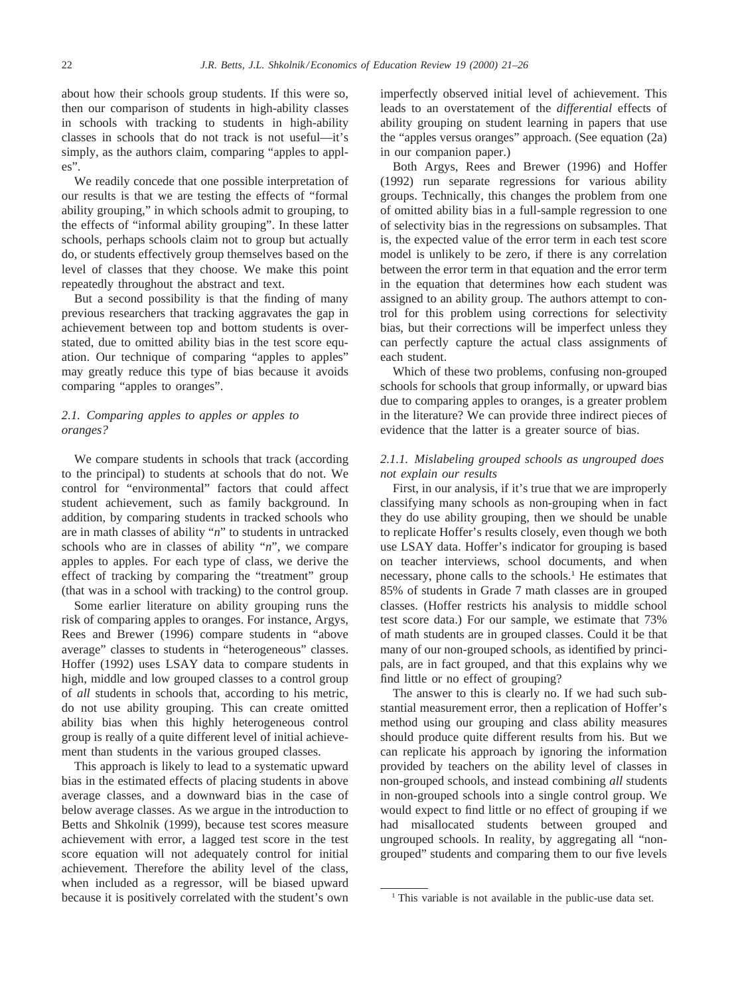about how their schools group students. If this were so, then our comparison of students in high-ability classes in schools with tracking to students in high-ability classes in schools that do not track is not useful—it's simply, as the authors claim, comparing "apples to apples".

We readily concede that one possible interpretation of our results is that we are testing the effects of "formal ability grouping," in which schools admit to grouping, to the effects of "informal ability grouping". In these latter schools, perhaps schools claim not to group but actually do, or students effectively group themselves based on the level of classes that they choose. We make this point repeatedly throughout the abstract and text.

But a second possibility is that the finding of many previous researchers that tracking aggravates the gap in achievement between top and bottom students is overstated, due to omitted ability bias in the test score equation. Our technique of comparing "apples to apples" may greatly reduce this type of bias because it avoids comparing "apples to oranges".

## *2.1. Comparing apples to apples or apples to oranges?*

We compare students in schools that track (according to the principal) to students at schools that do not. We control for "environmental" factors that could affect student achievement, such as family background. In addition, by comparing students in tracked schools who are in math classes of ability "*n*" to students in untracked schools who are in classes of ability "*n*", we compare apples to apples. For each type of class, we derive the effect of tracking by comparing the "treatment" group (that was in a school with tracking) to the control group.

Some earlier literature on ability grouping runs the risk of comparing apples to oranges. For instance, Argys, Rees and Brewer (1996) compare students in "above average" classes to students in "heterogeneous" classes. Hoffer (1992) uses LSAY data to compare students in high, middle and low grouped classes to a control group of *all* students in schools that, according to his metric, do not use ability grouping. This can create omitted ability bias when this highly heterogeneous control group is really of a quite different level of initial achievement than students in the various grouped classes.

This approach is likely to lead to a systematic upward bias in the estimated effects of placing students in above average classes, and a downward bias in the case of below average classes. As we argue in the introduction to Betts and Shkolnik (1999), because test scores measure achievement with error, a lagged test score in the test score equation will not adequately control for initial achievement. Therefore the ability level of the class, when included as a regressor, will be biased upward because it is positively correlated with the student's own imperfectly observed initial level of achievement. This leads to an overstatement of the *differential* effects of ability grouping on student learning in papers that use the "apples versus oranges" approach. (See equation (2a) in our companion paper.)

Both Argys, Rees and Brewer (1996) and Hoffer (1992) run separate regressions for various ability groups. Technically, this changes the problem from one of omitted ability bias in a full-sample regression to one of selectivity bias in the regressions on subsamples. That is, the expected value of the error term in each test score model is unlikely to be zero, if there is any correlation between the error term in that equation and the error term in the equation that determines how each student was assigned to an ability group. The authors attempt to control for this problem using corrections for selectivity bias, but their corrections will be imperfect unless they can perfectly capture the actual class assignments of each student.

Which of these two problems, confusing non-grouped schools for schools that group informally, or upward bias due to comparing apples to oranges, is a greater problem in the literature? We can provide three indirect pieces of evidence that the latter is a greater source of bias.

## *2.1.1. Mislabeling grouped schools as ungrouped does not explain our results*

First, in our analysis, if it's true that we are improperly classifying many schools as non-grouping when in fact they do use ability grouping, then we should be unable to replicate Hoffer's results closely, even though we both use LSAY data. Hoffer's indicator for grouping is based on teacher interviews, school documents, and when necessary, phone calls to the schools.<sup>1</sup> He estimates that 85% of students in Grade 7 math classes are in grouped classes. (Hoffer restricts his analysis to middle school test score data.) For our sample, we estimate that 73% of math students are in grouped classes. Could it be that many of our non-grouped schools, as identified by principals, are in fact grouped, and that this explains why we find little or no effect of grouping?

The answer to this is clearly no. If we had such substantial measurement error, then a replication of Hoffer's method using our grouping and class ability measures should produce quite different results from his. But we can replicate his approach by ignoring the information provided by teachers on the ability level of classes in non-grouped schools, and instead combining *all* students in non-grouped schools into a single control group. We would expect to find little or no effect of grouping if we had misallocated students between grouped and ungrouped schools. In reality, by aggregating all "nongrouped" students and comparing them to our five levels

<sup>&</sup>lt;sup>1</sup> This variable is not available in the public-use data set.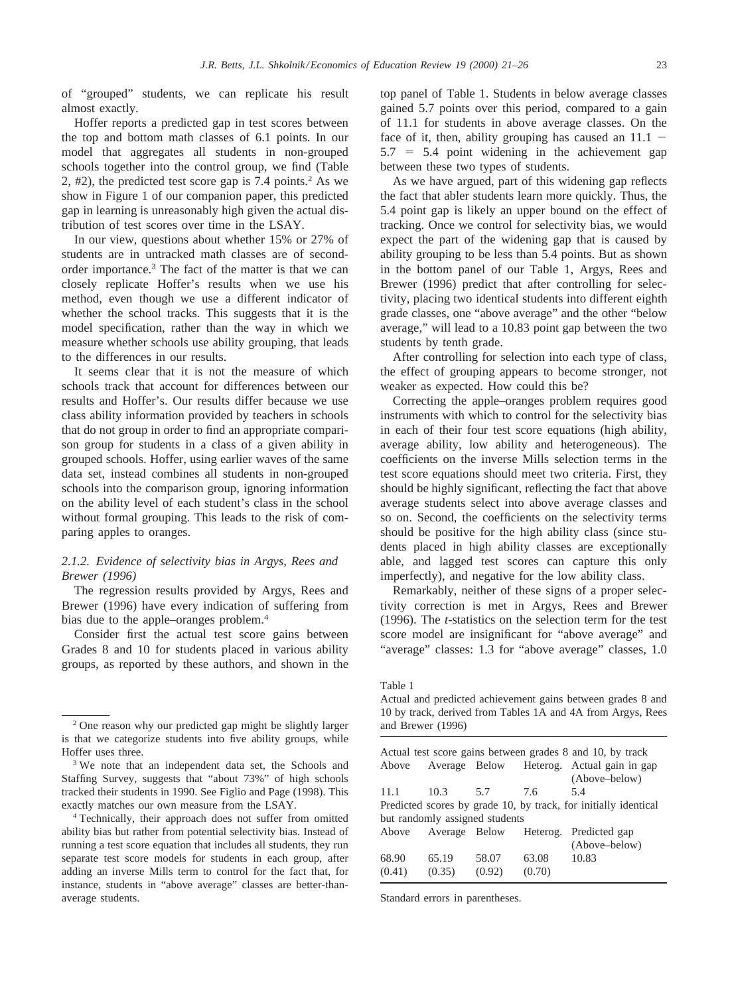of "grouped" students, we can replicate his result almost exactly.

Hoffer reports a predicted gap in test scores between the top and bottom math classes of 6.1 points. In our model that aggregates all students in non-grouped schools together into the control group, we find (Table 2,  $\#2$ ), the predicted test score gap is 7.4 points.<sup>2</sup> As we show in Figure 1 of our companion paper, this predicted gap in learning is unreasonably high given the actual distribution of test scores over time in the LSAY.

In our view, questions about whether 15% or 27% of students are in untracked math classes are of secondorder importance.3 The fact of the matter is that we can closely replicate Hoffer's results when we use his method, even though we use a different indicator of whether the school tracks. This suggests that it is the model specification, rather than the way in which we measure whether schools use ability grouping, that leads to the differences in our results.

It seems clear that it is not the measure of which schools track that account for differences between our results and Hoffer's. Our results differ because we use class ability information provided by teachers in schools that do not group in order to find an appropriate comparison group for students in a class of a given ability in grouped schools. Hoffer, using earlier waves of the same data set, instead combines all students in non-grouped schools into the comparison group, ignoring information on the ability level of each student's class in the school without formal grouping. This leads to the risk of comparing apples to oranges.

## *2.1.2. Evidence of selectivity bias in Argys, Rees and Brewer (1996)*

The regression results provided by Argys, Rees and Brewer (1996) have every indication of suffering from bias due to the apple–oranges problem.4

Consider first the actual test score gains between Grades 8 and 10 for students placed in various ability groups, as reported by these authors, and shown in the

top panel of Table 1. Students in below average classes gained 5.7 points over this period, compared to a gain of 11.1 for students in above average classes. On the face of it, then, ability grouping has caused an  $11.1 5.7 = 5.4$  point widening in the achievement gap between these two types of students.

As we have argued, part of this widening gap reflects the fact that abler students learn more quickly. Thus, the 5.4 point gap is likely an upper bound on the effect of tracking. Once we control for selectivity bias, we would expect the part of the widening gap that is caused by ability grouping to be less than 5.4 points. But as shown in the bottom panel of our Table 1, Argys, Rees and Brewer (1996) predict that after controlling for selectivity, placing two identical students into different eighth grade classes, one "above average" and the other "below average," will lead to a 10.83 point gap between the two students by tenth grade.

After controlling for selection into each type of class, the effect of grouping appears to become stronger, not weaker as expected. How could this be?

Correcting the apple–oranges problem requires good instruments with which to control for the selectivity bias in each of their four test score equations (high ability, average ability, low ability and heterogeneous). The coefficients on the inverse Mills selection terms in the test score equations should meet two criteria. First, they should be highly significant, reflecting the fact that above average students select into above average classes and so on. Second, the coefficients on the selectivity terms should be positive for the high ability class (since students placed in high ability classes are exceptionally able, and lagged test scores can capture this only imperfectly), and negative for the low ability class.

Remarkably, neither of these signs of a proper selectivity correction is met in Argys, Rees and Brewer (1996). The *t*-statistics on the selection term for the test score model are insignificant for "above average" and "average" classes: 1.3 for "above average" classes, 1.0

#### Table 1

Actual and predicted achievement gains between grades 8 and 10 by track, derived from Tables 1A and 4A from Argys, Rees and Brewer (1996)

| Actual test score gains between grades 8 and 10, by track       |        |                              |        |                                           |  |  |  |
|-----------------------------------------------------------------|--------|------------------------------|--------|-------------------------------------------|--|--|--|
| Above                                                           |        |                              |        | Average Below Heterog. Actual gain in gap |  |  |  |
|                                                                 |        |                              |        | (Above–below)                             |  |  |  |
| 11.1                                                            | 10.3   | 5.7                          | 7.6    | 5.4                                       |  |  |  |
| Predicted scores by grade 10, by track, for initially identical |        |                              |        |                                           |  |  |  |
| but randomly assigned students                                  |        |                              |        |                                           |  |  |  |
|                                                                 |        | Above Average Below Heterog. |        | Predicted gap                             |  |  |  |
|                                                                 |        |                              |        | (Above–below)                             |  |  |  |
| 68.90                                                           | 65.19  | 58.07                        | 63.08  | 10.83                                     |  |  |  |
| (0.41)                                                          | (0.35) | (0.92)                       | (0.70) |                                           |  |  |  |

Standard errors in parentheses.

<sup>2</sup> One reason why our predicted gap might be slightly larger is that we categorize students into five ability groups, while Hoffer uses three.

<sup>&</sup>lt;sup>3</sup> We note that an independent data set, the Schools and Staffing Survey, suggests that "about 73%" of high schools tracked their students in 1990. See Figlio and Page (1998). This exactly matches our own measure from the LSAY.

<sup>4</sup> Technically, their approach does not suffer from omitted ability bias but rather from potential selectivity bias. Instead of running a test score equation that includes all students, they run separate test score models for students in each group, after adding an inverse Mills term to control for the fact that, for instance, students in "above average" classes are better-thanaverage students.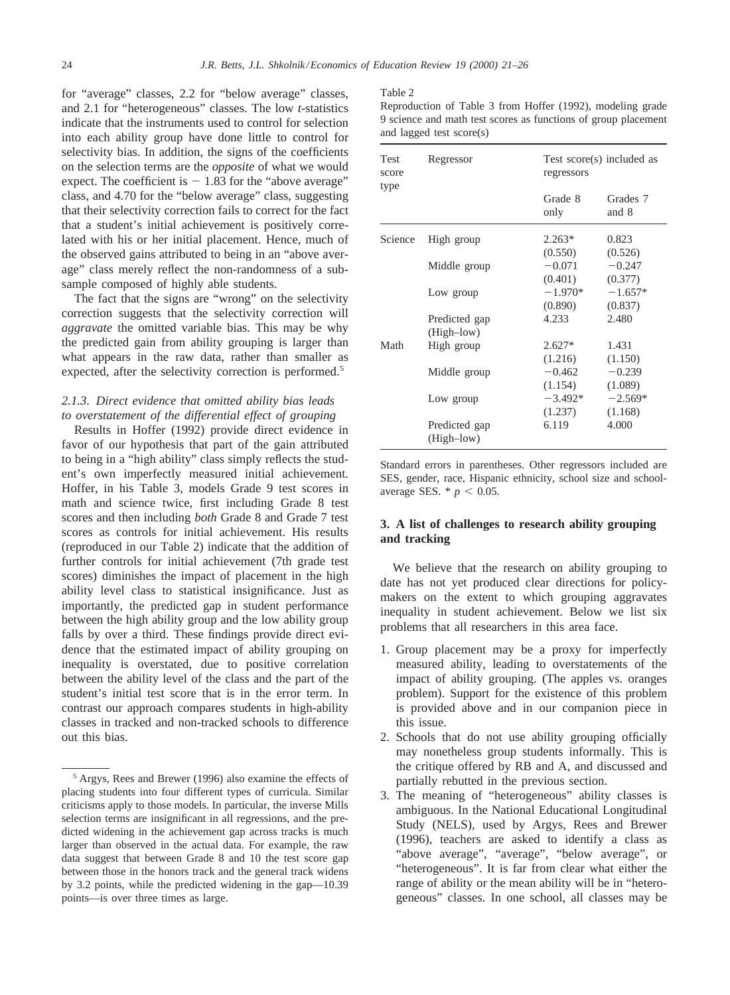for "average" classes, 2.2 for "below average" classes, and 2.1 for "heterogeneous" classes. The low *t*-statistics indicate that the instruments used to control for selection into each ability group have done little to control for selectivity bias. In addition, the signs of the coefficients on the selection terms are the *opposite* of what we would expect. The coefficient is  $-1.83$  for the "above average" class, and 4.70 for the "below average" class, suggesting that their selectivity correction fails to correct for the fact that a student's initial achievement is positively correlated with his or her initial placement. Hence, much of the observed gains attributed to being in an "above average" class merely reflect the non-randomness of a subsample composed of highly able students.

The fact that the signs are "wrong" on the selectivity correction suggests that the selectivity correction will *aggravate* the omitted variable bias. This may be why the predicted gain from ability grouping is larger than what appears in the raw data, rather than smaller as expected, after the selectivity correction is performed.<sup>5</sup>

## *2.1.3. Direct evidence that omitted ability bias leads to overstatement of the differential effect of grouping*

Results in Hoffer (1992) provide direct evidence in favor of our hypothesis that part of the gain attributed to being in a "high ability" class simply reflects the student's own imperfectly measured initial achievement. Hoffer, in his Table 3, models Grade 9 test scores in math and science twice, first including Grade 8 test scores and then including *both* Grade 8 and Grade 7 test scores as controls for initial achievement. His results (reproduced in our Table 2) indicate that the addition of further controls for initial achievement (7th grade test scores) diminishes the impact of placement in the high ability level class to statistical insignificance. Just as importantly, the predicted gap in student performance between the high ability group and the low ability group falls by over a third. These findings provide direct evidence that the estimated impact of ability grouping on inequality is overstated, due to positive correlation between the ability level of the class and the part of the student's initial test score that is in the error term. In contrast our approach compares students in high-ability classes in tracked and non-tracked schools to difference out this bias.

#### Table 2

Reproduction of Table 3 from Hoffer (1992), modeling grade 9 science and math test scores as functions of group placement and lagged test score(s)

| Test<br>score<br>type | Regressor                     | Test score(s) included as<br>regressors |                      |  |
|-----------------------|-------------------------------|-----------------------------------------|----------------------|--|
|                       |                               | Grade 8<br>only                         | Grades 7<br>and 8    |  |
| Science               | High group                    | $2.263*$<br>(0.550)                     | 0.823<br>(0.526)     |  |
|                       | Middle group                  | $-0.071$<br>(0.401)                     | $-0.247$<br>(0.377)  |  |
|                       | Low group                     | $-1.970*$<br>(0.890)                    | $-1.657*$<br>(0.837) |  |
|                       | Predicted gap<br>$(High-low)$ | 4.233                                   | 2.480                |  |
| Math                  | High group                    | $2.627*$<br>(1.216)                     | 1.431<br>(1.150)     |  |
|                       | Middle group                  | $-0.462$<br>(1.154)                     | $-0.239$<br>(1.089)  |  |
|                       | Low group                     | $-3.492*$<br>(1.237)                    | $-2.569*$<br>(1.168) |  |
|                       | Predicted gap<br>$(High-low)$ | 6.119                                   | 4.000                |  |

Standard errors in parentheses. Other regressors included are SES, gender, race, Hispanic ethnicity, school size and schoolaverage SES.  $* p < 0.05$ .

## **3. A list of challenges to research ability grouping and tracking**

We believe that the research on ability grouping to date has not yet produced clear directions for policymakers on the extent to which grouping aggravates inequality in student achievement. Below we list six problems that all researchers in this area face.

- 1. Group placement may be a proxy for imperfectly measured ability, leading to overstatements of the impact of ability grouping. (The apples vs. oranges problem). Support for the existence of this problem is provided above and in our companion piece in this issue.
- 2. Schools that do not use ability grouping officially may nonetheless group students informally. This is the critique offered by RB and A, and discussed and partially rebutted in the previous section.
- 3. The meaning of "heterogeneous" ability classes is ambiguous. In the National Educational Longitudinal Study (NELS), used by Argys, Rees and Brewer (1996), teachers are asked to identify a class as "above average", "average", "below average", or "heterogeneous". It is far from clear what either the range of ability or the mean ability will be in "heterogeneous" classes. In one school, all classes may be

<sup>5</sup> Argys, Rees and Brewer (1996) also examine the effects of placing students into four different types of curricula. Similar criticisms apply to those models. In particular, the inverse Mills selection terms are insignificant in all regressions, and the predicted widening in the achievement gap across tracks is much larger than observed in the actual data. For example, the raw data suggest that between Grade 8 and 10 the test score gap between those in the honors track and the general track widens by 3.2 points, while the predicted widening in the gap—10.39 points—is over three times as large.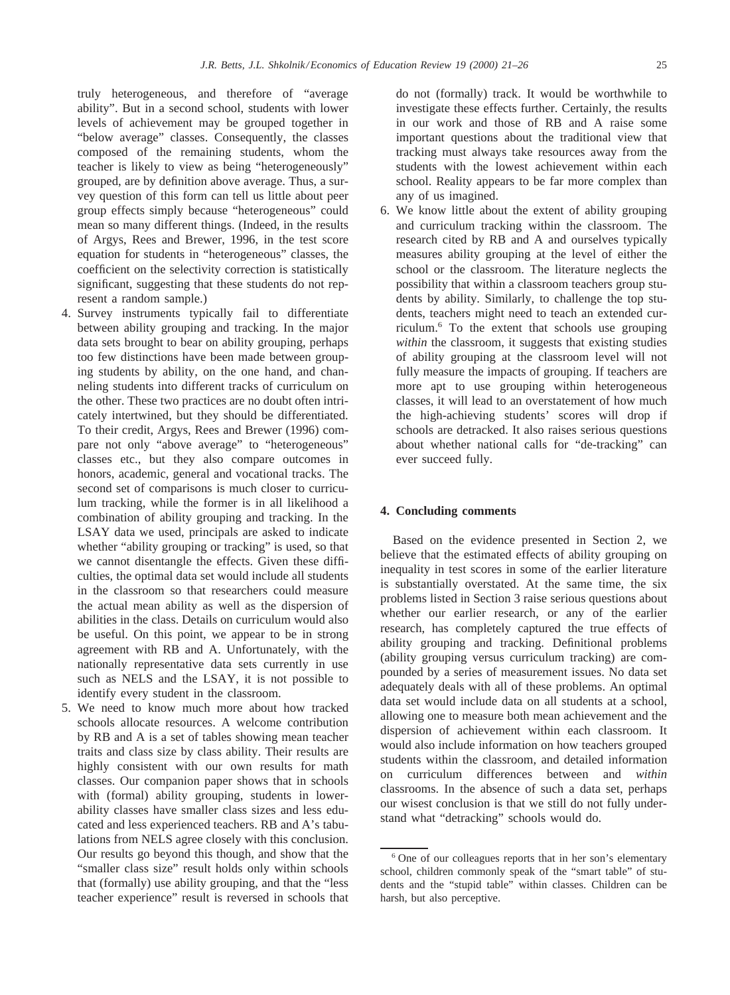truly heterogeneous, and therefore of "average ability". But in a second school, students with lower levels of achievement may be grouped together in "below average" classes. Consequently, the classes composed of the remaining students, whom the teacher is likely to view as being "heterogeneously" grouped, are by definition above average. Thus, a survey question of this form can tell us little about peer group effects simply because "heterogeneous" could mean so many different things. (Indeed, in the results of Argys, Rees and Brewer, 1996, in the test score equation for students in "heterogeneous" classes, the coefficient on the selectivity correction is statistically significant, suggesting that these students do not represent a random sample.)

- 4. Survey instruments typically fail to differentiate between ability grouping and tracking. In the major data sets brought to bear on ability grouping, perhaps too few distinctions have been made between grouping students by ability, on the one hand, and channeling students into different tracks of curriculum on the other. These two practices are no doubt often intricately intertwined, but they should be differentiated. To their credit, Argys, Rees and Brewer (1996) compare not only "above average" to "heterogeneous" classes etc., but they also compare outcomes in honors, academic, general and vocational tracks. The second set of comparisons is much closer to curriculum tracking, while the former is in all likelihood a combination of ability grouping and tracking. In the LSAY data we used, principals are asked to indicate whether "ability grouping or tracking" is used, so that we cannot disentangle the effects. Given these difficulties, the optimal data set would include all students in the classroom so that researchers could measure the actual mean ability as well as the dispersion of abilities in the class. Details on curriculum would also be useful. On this point, we appear to be in strong agreement with RB and A. Unfortunately, with the nationally representative data sets currently in use such as NELS and the LSAY, it is not possible to identify every student in the classroom.
- 5. We need to know much more about how tracked schools allocate resources. A welcome contribution by RB and A is a set of tables showing mean teacher traits and class size by class ability. Their results are highly consistent with our own results for math classes. Our companion paper shows that in schools with (formal) ability grouping, students in lowerability classes have smaller class sizes and less educated and less experienced teachers. RB and A's tabulations from NELS agree closely with this conclusion. Our results go beyond this though, and show that the "smaller class size" result holds only within schools that (formally) use ability grouping, and that the "less teacher experience" result is reversed in schools that

do not (formally) track. It would be worthwhile to investigate these effects further. Certainly, the results in our work and those of RB and A raise some important questions about the traditional view that tracking must always take resources away from the students with the lowest achievement within each school. Reality appears to be far more complex than any of us imagined.

6. We know little about the extent of ability grouping and curriculum tracking within the classroom. The research cited by RB and A and ourselves typically measures ability grouping at the level of either the school or the classroom. The literature neglects the possibility that within a classroom teachers group students by ability. Similarly, to challenge the top students, teachers might need to teach an extended curriculum.6 To the extent that schools use grouping *within* the classroom, it suggests that existing studies of ability grouping at the classroom level will not fully measure the impacts of grouping. If teachers are more apt to use grouping within heterogeneous classes, it will lead to an overstatement of how much the high-achieving students' scores will drop if schools are detracked. It also raises serious questions about whether national calls for "de-tracking" can ever succeed fully.

## **4. Concluding comments**

Based on the evidence presented in Section 2, we believe that the estimated effects of ability grouping on inequality in test scores in some of the earlier literature is substantially overstated. At the same time, the six problems listed in Section 3 raise serious questions about whether our earlier research, or any of the earlier research, has completely captured the true effects of ability grouping and tracking. Definitional problems (ability grouping versus curriculum tracking) are compounded by a series of measurement issues. No data set adequately deals with all of these problems. An optimal data set would include data on all students at a school, allowing one to measure both mean achievement and the dispersion of achievement within each classroom. It would also include information on how teachers grouped students within the classroom, and detailed information on curriculum differences between and *within* classrooms. In the absence of such a data set, perhaps our wisest conclusion is that we still do not fully understand what "detracking" schools would do.

<sup>6</sup> One of our colleagues reports that in her son's elementary school, children commonly speak of the "smart table" of students and the "stupid table" within classes. Children can be harsh, but also perceptive.